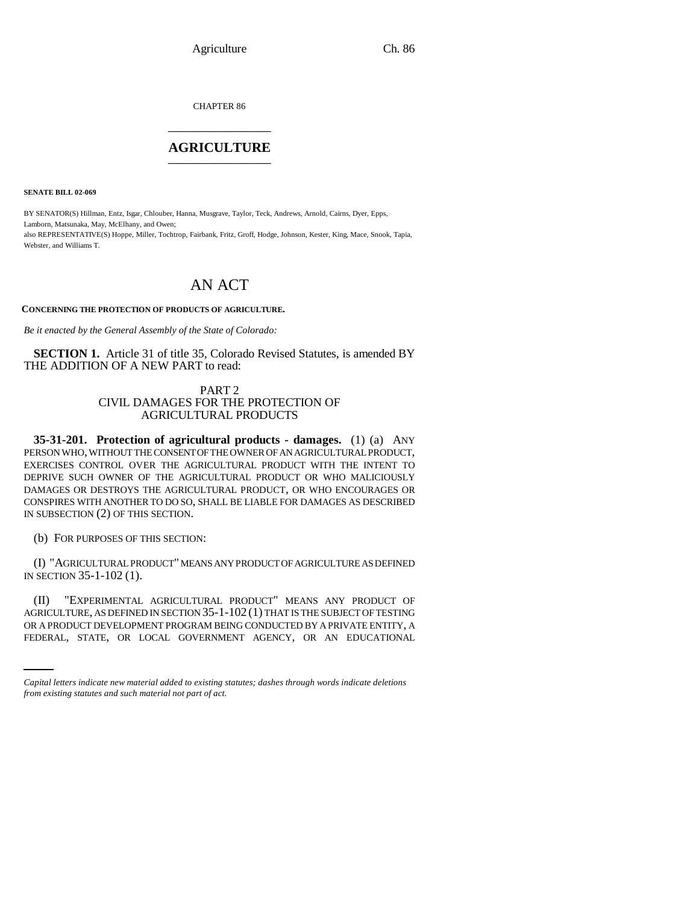CHAPTER 86 \_\_\_\_\_\_\_\_\_\_\_\_\_\_\_

### **AGRICULTURE** \_\_\_\_\_\_\_\_\_\_\_\_\_\_\_

**SENATE BILL 02-069**

BY SENATOR(S) Hillman, Entz, Isgar, Chlouber, Hanna, Musgrave, Taylor, Teck, Andrews, Arnold, Cairns, Dyer, Epps, Lamborn, Matsunaka, May, McElhany, and Owen; also REPRESENTATIVE(S) Hoppe, Miller, Tochtrop, Fairbank, Fritz, Groff, Hodge, Johnson, Kester, King, Mace, Snook, Tapia, Webster, and Williams T.

# AN ACT

**CONCERNING THE PROTECTION OF PRODUCTS OF AGRICULTURE.**

*Be it enacted by the General Assembly of the State of Colorado:*

**SECTION 1.** Article 31 of title 35, Colorado Revised Statutes, is amended BY THE ADDITION OF A NEW PART to read:

### PART 2 CIVIL DAMAGES FOR THE PROTECTION OF AGRICULTURAL PRODUCTS

**35-31-201. Protection of agricultural products - damages.** (1) (a) ANY PERSON WHO, WITHOUT THE CONSENT OF THE OWNER OF AN AGRICULTURAL PRODUCT, EXERCISES CONTROL OVER THE AGRICULTURAL PRODUCT WITH THE INTENT TO DEPRIVE SUCH OWNER OF THE AGRICULTURAL PRODUCT OR WHO MALICIOUSLY DAMAGES OR DESTROYS THE AGRICULTURAL PRODUCT, OR WHO ENCOURAGES OR CONSPIRES WITH ANOTHER TO DO SO, SHALL BE LIABLE FOR DAMAGES AS DESCRIBED IN SUBSECTION (2) OF THIS SECTION.

(b) FOR PURPOSES OF THIS SECTION:

(I) "AGRICULTURAL PRODUCT" MEANS ANY PRODUCT OF AGRICULTURE AS DEFINED IN SECTION 35-1-102 (1).

AGRICULTURE, AS DEFINED IN SECTION 35-1-102 (1) THAT IS THE SUBJECT OF TESTING (II) "EXPERIMENTAL AGRICULTURAL PRODUCT" MEANS ANY PRODUCT OF OR A PRODUCT DEVELOPMENT PROGRAM BEING CONDUCTED BY A PRIVATE ENTITY, A FEDERAL, STATE, OR LOCAL GOVERNMENT AGENCY, OR AN EDUCATIONAL

*Capital letters indicate new material added to existing statutes; dashes through words indicate deletions from existing statutes and such material not part of act.*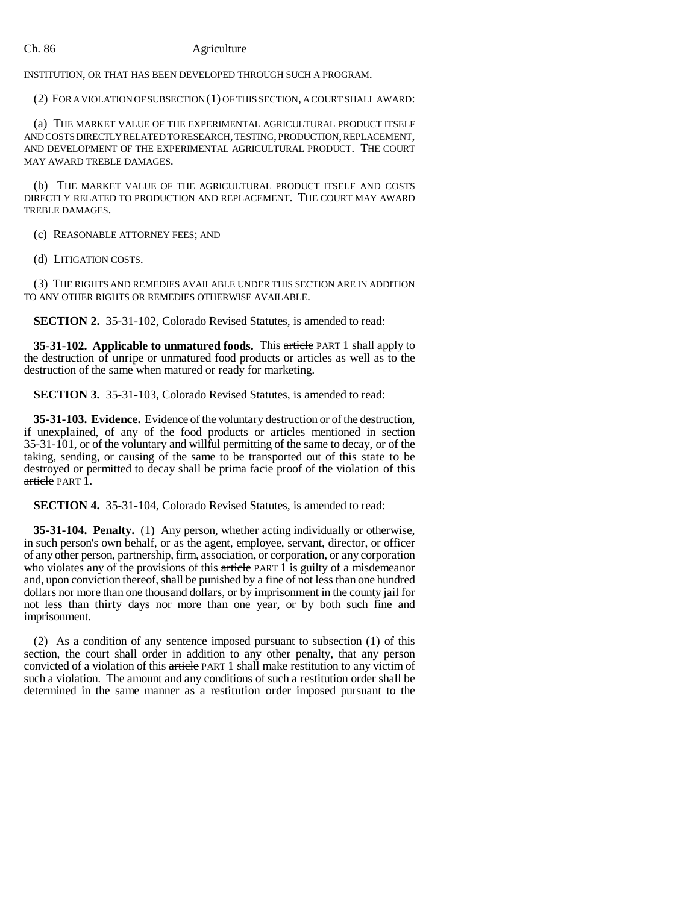## Ch. 86 Agriculture

INSTITUTION, OR THAT HAS BEEN DEVELOPED THROUGH SUCH A PROGRAM.

(2) FOR A VIOLATION OF SUBSECTION (1) OF THIS SECTION, A COURT SHALL AWARD:

(a) THE MARKET VALUE OF THE EXPERIMENTAL AGRICULTURAL PRODUCT ITSELF AND COSTS DIRECTLY RELATED TO RESEARCH, TESTING, PRODUCTION, REPLACEMENT, AND DEVELOPMENT OF THE EXPERIMENTAL AGRICULTURAL PRODUCT. THE COURT MAY AWARD TREBLE DAMAGES.

(b) THE MARKET VALUE OF THE AGRICULTURAL PRODUCT ITSELF AND COSTS DIRECTLY RELATED TO PRODUCTION AND REPLACEMENT. THE COURT MAY AWARD TREBLE DAMAGES.

(c) REASONABLE ATTORNEY FEES; AND

(d) LITIGATION COSTS.

(3) THE RIGHTS AND REMEDIES AVAILABLE UNDER THIS SECTION ARE IN ADDITION TO ANY OTHER RIGHTS OR REMEDIES OTHERWISE AVAILABLE.

**SECTION 2.** 35-31-102, Colorado Revised Statutes, is amended to read:

**35-31-102. Applicable to unmatured foods.** This article PART 1 shall apply to the destruction of unripe or unmatured food products or articles as well as to the destruction of the same when matured or ready for marketing.

**SECTION 3.** 35-31-103, Colorado Revised Statutes, is amended to read:

**35-31-103. Evidence.** Evidence of the voluntary destruction or of the destruction, if unexplained, of any of the food products or articles mentioned in section 35-31-101, or of the voluntary and willful permitting of the same to decay, or of the taking, sending, or causing of the same to be transported out of this state to be destroyed or permitted to decay shall be prima facie proof of the violation of this article PART 1.

**SECTION 4.** 35-31-104, Colorado Revised Statutes, is amended to read:

**35-31-104. Penalty.** (1) Any person, whether acting individually or otherwise, in such person's own behalf, or as the agent, employee, servant, director, or officer of any other person, partnership, firm, association, or corporation, or any corporation who violates any of the provisions of this article PART 1 is guilty of a misdemeanor and, upon conviction thereof, shall be punished by a fine of not less than one hundred dollars nor more than one thousand dollars, or by imprisonment in the county jail for not less than thirty days nor more than one year, or by both such fine and imprisonment.

(2) As a condition of any sentence imposed pursuant to subsection (1) of this section, the court shall order in addition to any other penalty, that any person convicted of a violation of this article PART 1 shall make restitution to any victim of such a violation. The amount and any conditions of such a restitution order shall be determined in the same manner as a restitution order imposed pursuant to the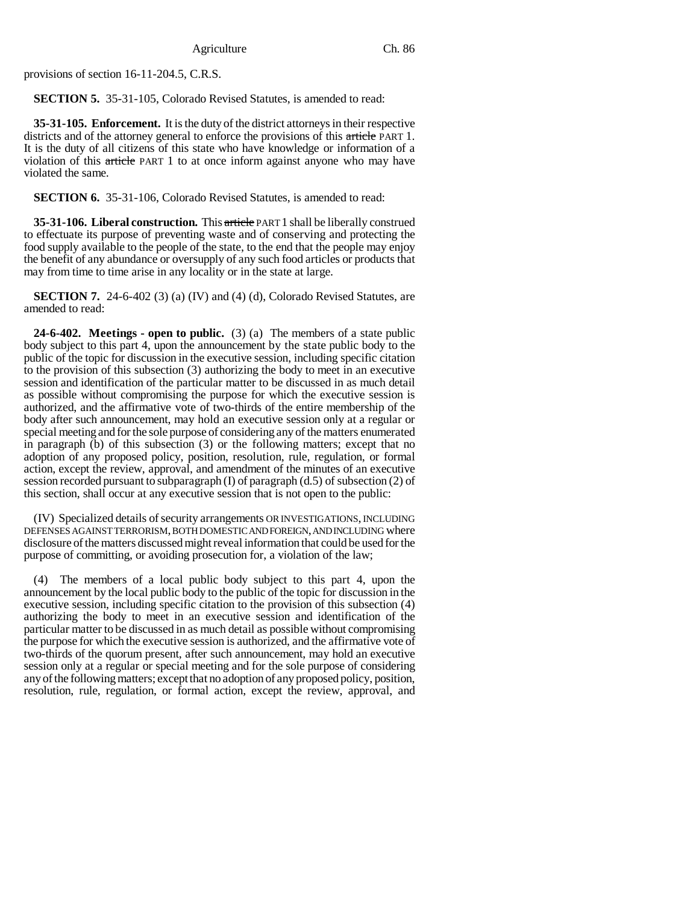provisions of section 16-11-204.5, C.R.S.

**SECTION 5.** 35-31-105, Colorado Revised Statutes, is amended to read:

**35-31-105. Enforcement.** It is the duty of the district attorneys in their respective districts and of the attorney general to enforce the provisions of this article PART 1. It is the duty of all citizens of this state who have knowledge or information of a violation of this article PART 1 to at once inform against anyone who may have violated the same.

**SECTION 6.** 35-31-106, Colorado Revised Statutes, is amended to read:

**35-31-106. Liberal construction.** This article PART 1 shall be liberally construed to effectuate its purpose of preventing waste and of conserving and protecting the food supply available to the people of the state, to the end that the people may enjoy the benefit of any abundance or oversupply of any such food articles or products that may from time to time arise in any locality or in the state at large.

**SECTION 7.** 24-6-402 (3) (a) (IV) and (4) (d), Colorado Revised Statutes, are amended to read:

**24-6-402. Meetings - open to public.** (3) (a) The members of a state public body subject to this part 4, upon the announcement by the state public body to the public of the topic for discussion in the executive session, including specific citation to the provision of this subsection (3) authorizing the body to meet in an executive session and identification of the particular matter to be discussed in as much detail as possible without compromising the purpose for which the executive session is authorized, and the affirmative vote of two-thirds of the entire membership of the body after such announcement, may hold an executive session only at a regular or special meeting and for the sole purpose of considering any of the matters enumerated in paragraph (b) of this subsection (3) or the following matters; except that no adoption of any proposed policy, position, resolution, rule, regulation, or formal action, except the review, approval, and amendment of the minutes of an executive session recorded pursuant to subparagraph (I) of paragraph (d.5) of subsection (2) of this section, shall occur at any executive session that is not open to the public:

(IV) Specialized details of security arrangements OR INVESTIGATIONS, INCLUDING DEFENSES AGAINST TERRORISM, BOTH DOMESTIC AND FOREIGN, AND INCLUDING where disclosure of the matters discussed might reveal information that could be used for the purpose of committing, or avoiding prosecution for, a violation of the law;

(4) The members of a local public body subject to this part 4, upon the announcement by the local public body to the public of the topic for discussion in the executive session, including specific citation to the provision of this subsection (4) authorizing the body to meet in an executive session and identification of the particular matter to be discussed in as much detail as possible without compromising the purpose for which the executive session is authorized, and the affirmative vote of two-thirds of the quorum present, after such announcement, may hold an executive session only at a regular or special meeting and for the sole purpose of considering any of the following matters; except that no adoption of any proposed policy, position, resolution, rule, regulation, or formal action, except the review, approval, and